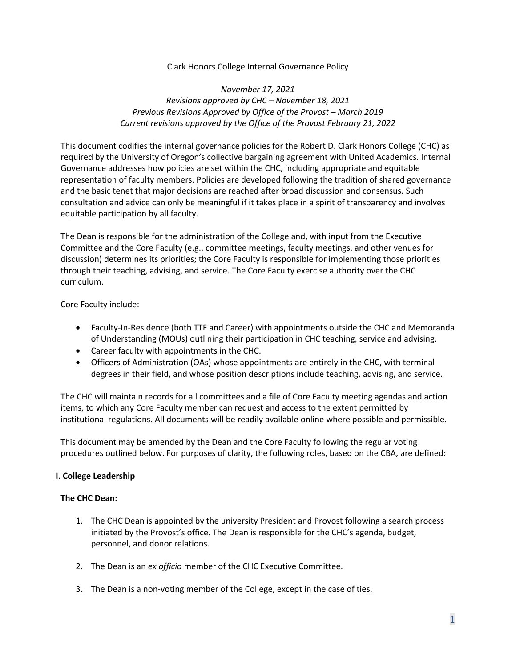## Clark Honors College Internal Governance Policy

# *November 17, 2021 Revisions approved by CHC – November 18, 2021 Previous Revisions Approved by Office of the Provost – March 2019 Current revisions approved by the Office of the Provost February 21, 2022*

This document codifies the internal governance policies for the Robert D. Clark Honors College (CHC) as required by the University of Oregon's collective bargaining agreement with United Academics. Internal Governance addresses how policies are set within the CHC, including appropriate and equitable representation of faculty members. Policies are developed following the tradition of shared governance and the basic tenet that major decisions are reached after broad discussion and consensus. Such consultation and advice can only be meaningful if it takes place in a spirit of transparency and involves equitable participation by all faculty.

The Dean is responsible for the administration of the College and, with input from the Executive Committee and the Core Faculty (e.g., committee meetings, faculty meetings, and other venues for discussion) determines its priorities; the Core Faculty is responsible for implementing those priorities through their teaching, advising, and service. The Core Faculty exercise authority over the CHC curriculum.

Core Faculty include:

- Faculty-In-Residence (both TTF and Career) with appointments outside the CHC and Memoranda of Understanding (MOUs) outlining their participation in CHC teaching, service and advising.
- Career faculty with appointments in the CHC.
- Officers of Administration (OAs) whose appointments are entirely in the CHC, with terminal degrees in their field, and whose position descriptions include teaching, advising, and service.

The CHC will maintain records for all committees and a file of Core Faculty meeting agendas and action items, to which any Core Faculty member can request and access to the extent permitted by institutional regulations. All documents will be readily available online where possible and permissible.

This document may be amended by the Dean and the Core Faculty following the regular voting procedures outlined below. For purposes of clarity, the following roles, based on the CBA, are defined:

## I. **College Leadership**

## **The CHC Dean:**

- 1. The CHC Dean is appointed by the university President and Provost following a search process initiated by the Provost's office. The Dean is responsible for the CHC's agenda, budget, personnel, and donor relations.
- 2. The Dean is an *ex officio* member of the CHC Executive Committee.
- 3. The Dean is a non-voting member of the College, except in the case of ties.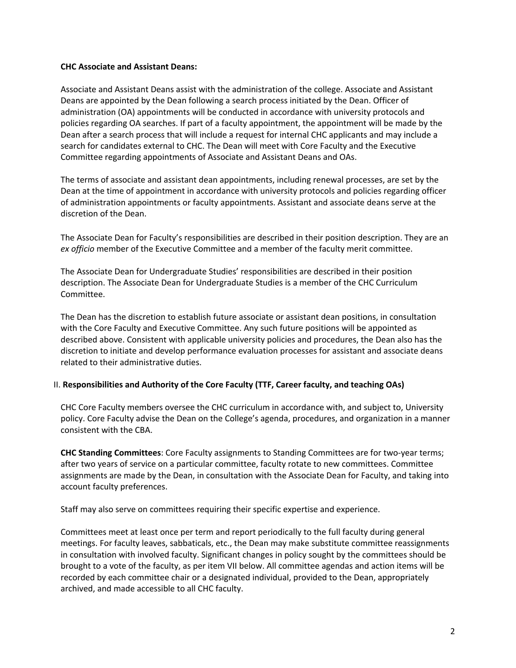### **CHC Associate and Assistant Deans:**

Associate and Assistant Deans assist with the administration of the college. Associate and Assistant Deans are appointed by the Dean following a search process initiated by the Dean. Officer of administration (OA) appointments will be conducted in accordance with university protocols and policies regarding OA searches. If part of a faculty appointment, the appointment will be made by the Dean after a search process that will include a request for internal CHC applicants and may include a search for candidates external to CHC. The Dean will meet with Core Faculty and the Executive Committee regarding appointments of Associate and Assistant Deans and OAs.

The terms of associate and assistant dean appointments, including renewal processes, are set by the Dean at the time of appointment in accordance with university protocols and policies regarding officer of administration appointments or faculty appointments. Assistant and associate deans serve at the discretion of the Dean.

The Associate Dean for Faculty's responsibilities are described in their position description. They are an *ex officio* member of the Executive Committee and a member of the faculty merit committee.

The Associate Dean for Undergraduate Studies' responsibilities are described in their position description. The Associate Dean for Undergraduate Studies is a member of the CHC Curriculum Committee.

The Dean has the discretion to establish future associate or assistant dean positions, in consultation with the Core Faculty and Executive Committee. Any such future positions will be appointed as described above. Consistent with applicable university policies and procedures, the Dean also has the discretion to initiate and develop performance evaluation processes for assistant and associate deans related to their administrative duties.

## II. **Responsibilities and Authority of the Core Faculty (TTF, Career faculty, and teaching OAs)**

CHC Core Faculty members oversee the CHC curriculum in accordance with, and subject to, University policy. Core Faculty advise the Dean on the College's agenda, procedures, and organization in a manner consistent with the CBA.

**CHC Standing Committees**: Core Faculty assignments to Standing Committees are for two-year terms; after two years of service on a particular committee, faculty rotate to new committees. Committee assignments are made by the Dean, in consultation with the Associate Dean for Faculty, and taking into account faculty preferences.

Staff may also serve on committees requiring their specific expertise and experience.

Committees meet at least once per term and report periodically to the full faculty during general meetings. For faculty leaves, sabbaticals, etc., the Dean may make substitute committee reassignments in consultation with involved faculty. Significant changes in policy sought by the committees should be brought to a vote of the faculty, as per item VII below. All committee agendas and action items will be recorded by each committee chair or a designated individual, provided to the Dean, appropriately archived, and made accessible to all CHC faculty.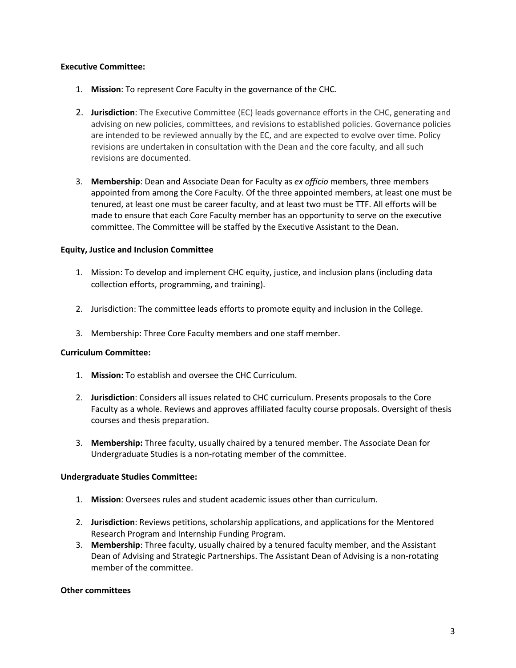### **Executive Committee:**

- 1. **Mission**: To represent Core Faculty in the governance of the CHC.
- 2. **Jurisdiction**: The Executive Committee (EC) leads governance efforts in the CHC, generating and advising on new policies, committees, and revisions to established policies. Governance policies are intended to be reviewed annually by the EC, and are expected to evolve over time. Policy revisions are undertaken in consultation with the Dean and the core faculty, and all such revisions are documented.
- 3. **Membership**: Dean and Associate Dean for Faculty as *ex officio* members, three members appointed from among the Core Faculty. Of the three appointed members, at least one must be tenured, at least one must be career faculty, and at least two must be TTF. All efforts will be made to ensure that each Core Faculty member has an opportunity to serve on the executive committee. The Committee will be staffed by the Executive Assistant to the Dean.

### **Equity, Justice and Inclusion Committee**

- 1. Mission: To develop and implement CHC equity, justice, and inclusion plans (including data collection efforts, programming, and training).
- 2. Jurisdiction: The committee leads efforts to promote equity and inclusion in the College.
- 3. Membership: Three Core Faculty members and one staff member.

#### **Curriculum Committee:**

- 1. **Mission:** To establish and oversee the CHC Curriculum.
- 2. **Jurisdiction**: Considers all issues related to CHC curriculum. Presents proposals to the Core Faculty as a whole. Reviews and approves affiliated faculty course proposals. Oversight of thesis courses and thesis preparation.
- 3. **Membership:** Three faculty, usually chaired by a tenured member. The Associate Dean for Undergraduate Studies is a non-rotating member of the committee.

#### **Undergraduate Studies Committee:**

- 1. **Mission**: Oversees rules and student academic issues other than curriculum.
- 2. **Jurisdiction**: Reviews petitions, scholarship applications, and applications for the Mentored Research Program and Internship Funding Program.
- 3. **Membership**: Three faculty, usually chaired by a tenured faculty member, and the Assistant Dean of Advising and Strategic Partnerships. The Assistant Dean of Advising is a non-rotating member of the committee.

#### **Other committees**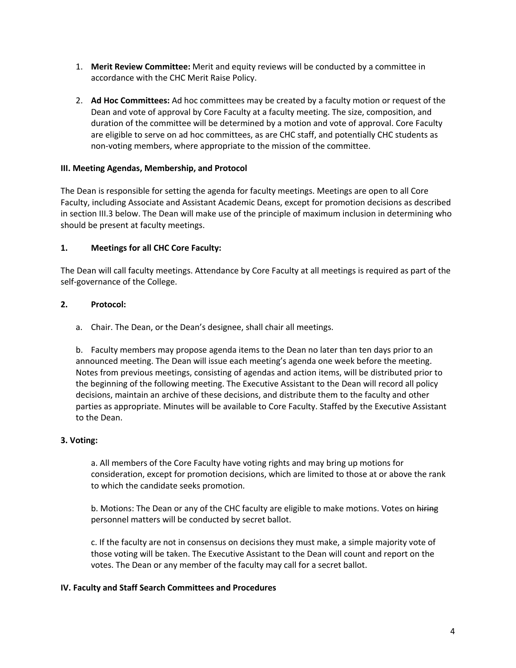- 1. **Merit Review Committee:** Merit and equity reviews will be conducted by a committee in accordance with the CHC Merit Raise Policy.
- 2. **Ad Hoc Committees:** Ad hoc committees may be created by a faculty motion or request of the Dean and vote of approval by Core Faculty at a faculty meeting. The size, composition, and duration of the committee will be determined by a motion and vote of approval. Core Faculty are eligible to serve on ad hoc committees, as are CHC staff, and potentially CHC students as non-voting members, where appropriate to the mission of the committee.

## **III. Meeting Agendas, Membership, and Protocol**

The Dean is responsible for setting the agenda for faculty meetings. Meetings are open to all Core Faculty, including Associate and Assistant Academic Deans, except for promotion decisions as described in section III.3 below. The Dean will make use of the principle of maximum inclusion in determining who should be present at faculty meetings.

# **1. Meetings for all CHC Core Faculty:**

The Dean will call faculty meetings. Attendance by Core Faculty at all meetings is required as part of the self-governance of the College.

# **2. Protocol:**

a. Chair. The Dean, or the Dean's designee, shall chair all meetings.

b. Faculty members may propose agenda items to the Dean no later than ten days prior to an announced meeting. The Dean will issue each meeting's agenda one week before the meeting. Notes from previous meetings, consisting of agendas and action items, will be distributed prior to the beginning of the following meeting. The Executive Assistant to the Dean will record all policy decisions, maintain an archive of these decisions, and distribute them to the faculty and other parties as appropriate. Minutes will be available to Core Faculty. Staffed by the Executive Assistant to the Dean.

## **3. Voting:**

a. All members of the Core Faculty have voting rights and may bring up motions for consideration, except for promotion decisions, which are limited to those at or above the rank to which the candidate seeks promotion.

b. Motions: The Dean or any of the CHC faculty are eligible to make motions. Votes on hiring personnel matters will be conducted by secret ballot.

c. If the faculty are not in consensus on decisions they must make, a simple majority vote of those voting will be taken. The Executive Assistant to the Dean will count and report on the votes. The Dean or any member of the faculty may call for a secret ballot.

## **IV. Faculty and Staff Search Committees and Procedures**